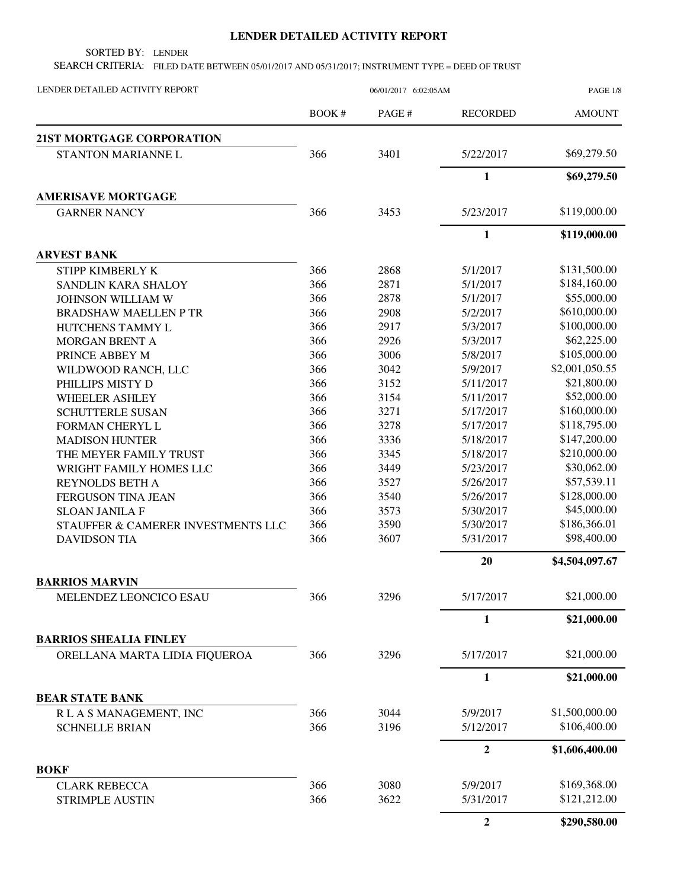## **LENDER DETAILED ACTIVITY REPORT**

SORTED BY: LENDER

SEARCH CRITERIA: FILED DATE BETWEEN 05/01/2017 AND 05/31/2017; INSTRUMENT TYPE = DEED OF TRUST

| LENDER DETAILED ACTIVITY REPORT                                | 06/01/2017 6:02:05AM |       |                  | PAGE 1/8       |
|----------------------------------------------------------------|----------------------|-------|------------------|----------------|
|                                                                | <b>BOOK#</b>         | PAGE# | <b>RECORDED</b>  | <b>AMOUNT</b>  |
| <b>21ST MORTGAGE CORPORATION</b>                               |                      |       |                  |                |
| STANTON MARIANNE L                                             | 366                  | 3401  | 5/22/2017        | \$69,279.50    |
|                                                                |                      |       | $\mathbf{1}$     | \$69,279.50    |
| <b>AMERISAVE MORTGAGE</b>                                      |                      |       |                  |                |
| <b>GARNER NANCY</b>                                            | 366                  | 3453  | 5/23/2017        | \$119,000.00   |
|                                                                |                      |       | $\mathbf{1}$     | \$119,000.00   |
| <b>ARVEST BANK</b>                                             |                      |       |                  |                |
| STIPP KIMBERLY K                                               | 366                  | 2868  | 5/1/2017         | \$131,500.00   |
| SANDLIN KARA SHALOY                                            | 366                  | 2871  | 5/1/2017         | \$184,160.00   |
| JOHNSON WILLIAM W                                              | 366                  | 2878  | 5/1/2017         | \$55,000.00    |
| <b>BRADSHAW MAELLEN P TR</b>                                   | 366                  | 2908  | 5/2/2017         | \$610,000.00   |
| HUTCHENS TAMMY L                                               | 366                  | 2917  | 5/3/2017         | \$100,000.00   |
| MORGAN BRENT A                                                 | 366                  | 2926  | 5/3/2017         | \$62,225.00    |
| PRINCE ABBEY M                                                 | 366                  | 3006  | 5/8/2017         | \$105,000.00   |
| WILDWOOD RANCH, LLC                                            | 366                  | 3042  | 5/9/2017         | \$2,001,050.55 |
| PHILLIPS MISTY D                                               | 366                  | 3152  | 5/11/2017        | \$21,800.00    |
| <b>WHEELER ASHLEY</b>                                          | 366                  | 3154  | 5/11/2017        | \$52,000.00    |
| <b>SCHUTTERLE SUSAN</b>                                        | 366                  | 3271  | 5/17/2017        | \$160,000.00   |
| <b>FORMAN CHERYL L</b>                                         | 366                  | 3278  | 5/17/2017        | \$118,795.00   |
| <b>MADISON HUNTER</b>                                          | 366                  | 3336  | 5/18/2017        | \$147,200.00   |
| THE MEYER FAMILY TRUST                                         | 366                  | 3345  | 5/18/2017        | \$210,000.00   |
| WRIGHT FAMILY HOMES LLC                                        | 366                  | 3449  | 5/23/2017        | \$30,062.00    |
| REYNOLDS BETH A                                                | 366                  | 3527  | 5/26/2017        | \$57,539.11    |
| FERGUSON TINA JEAN                                             | 366                  | 3540  | 5/26/2017        | \$128,000.00   |
| <b>SLOAN JANILA F</b>                                          | 366                  | 3573  | 5/30/2017        | \$45,000.00    |
| STAUFFER & CAMERER INVESTMENTS LLC                             | 366                  | 3590  | 5/30/2017        | \$186,366.01   |
| <b>DAVIDSON TIA</b>                                            | 366                  | 3607  | 5/31/2017        | \$98,400.00    |
|                                                                |                      |       | 20               | \$4,504,097.67 |
| <b>BARRIOS MARVIN</b>                                          |                      |       |                  |                |
| MELENDEZ LEONCICO ESAU                                         | 366                  | 3296  | 5/17/2017        | \$21,000.00    |
|                                                                |                      |       | 1                | \$21,000.00    |
| <b>BARRIOS SHEALIA FINLEY</b><br>ORELLANA MARTA LIDIA FIQUEROA | 366                  | 3296  | 5/17/2017        | \$21,000.00    |
|                                                                |                      |       | 1                | \$21,000.00    |
| <b>BEAR STATE BANK</b>                                         |                      |       |                  |                |
| R L A S MANAGEMENT, INC                                        | 366                  | 3044  | 5/9/2017         | \$1,500,000.00 |
| <b>SCHNELLE BRIAN</b>                                          | 366                  | 3196  | 5/12/2017        | \$106,400.00   |
|                                                                |                      |       | $\boldsymbol{2}$ | \$1,606,400.00 |
| <b>BOKF</b>                                                    |                      |       |                  |                |
| <b>CLARK REBECCA</b>                                           | 366                  | 3080  | 5/9/2017         | \$169,368.00   |
| <b>STRIMPLE AUSTIN</b>                                         | 366                  | 3622  | 5/31/2017        | \$121,212.00   |
|                                                                |                      |       | $\overline{2}$   | \$290,580.00   |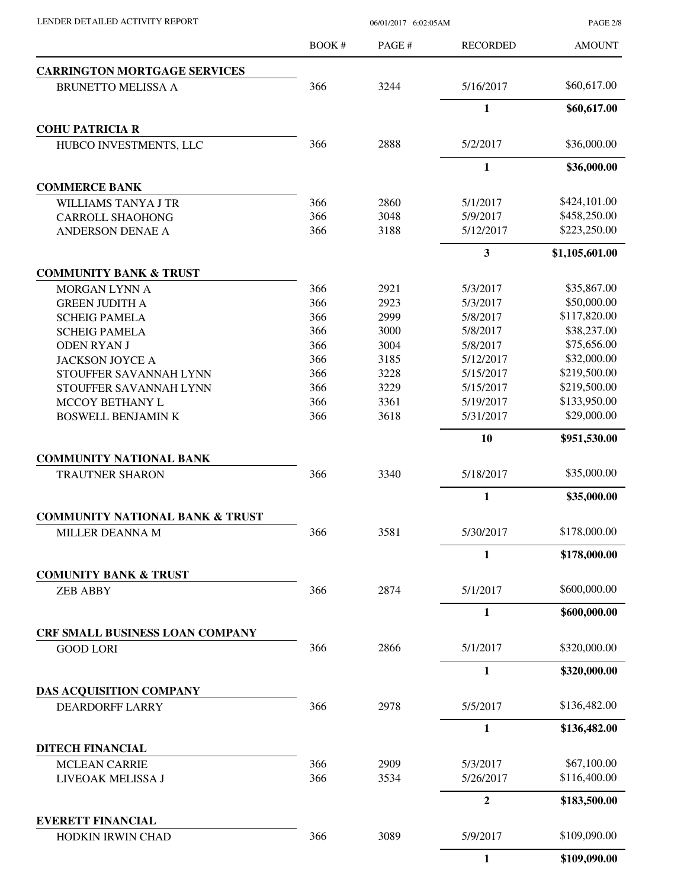PAGE 2/8

|                                                     | BOOK#      | PAGE #       | <b>RECORDED</b>         | <b>AMOUNT</b>                |
|-----------------------------------------------------|------------|--------------|-------------------------|------------------------------|
| <b>CARRINGTON MORTGAGE SERVICES</b>                 |            |              |                         |                              |
| <b>BRUNETTO MELISSA A</b>                           | 366        | 3244         | 5/16/2017               | \$60,617.00                  |
|                                                     |            |              | $\mathbf{1}$            | \$60,617.00                  |
| <b>COHU PATRICIA R</b>                              |            |              |                         |                              |
| HUBCO INVESTMENTS, LLC                              | 366        | 2888         | 5/2/2017                | \$36,000.00                  |
|                                                     |            |              | $\mathbf{1}$            | \$36,000.00                  |
| <b>COMMERCE BANK</b>                                |            |              |                         |                              |
| <b>WILLIAMS TANYA J TR</b>                          | 366        | 2860         | 5/1/2017                | \$424,101.00                 |
| <b>CARROLL SHAOHONG</b>                             | 366<br>366 | 3048<br>3188 | 5/9/2017                | \$458,250.00<br>\$223,250.00 |
| <b>ANDERSON DENAE A</b>                             |            |              | 5/12/2017               |                              |
| <b>COMMUNITY BANK &amp; TRUST</b>                   |            |              | $\overline{\mathbf{3}}$ | \$1,105,601.00               |
| <b>MORGAN LYNN A</b>                                | 366        | 2921         | 5/3/2017                | \$35,867.00                  |
| <b>GREEN JUDITH A</b>                               | 366        | 2923         | 5/3/2017                | \$50,000.00                  |
| <b>SCHEIG PAMELA</b>                                | 366        | 2999         | 5/8/2017                | \$117,820.00                 |
| <b>SCHEIG PAMELA</b>                                | 366        | 3000         | 5/8/2017                | \$38,237.00                  |
| <b>ODEN RYAN J</b>                                  | 366        | 3004         | 5/8/2017                | \$75,656.00                  |
| <b>JACKSON JOYCE A</b>                              | 366        | 3185         | 5/12/2017               | \$32,000.00                  |
| STOUFFER SAVANNAH LYNN                              | 366        | 3228         | 5/15/2017               | \$219,500.00                 |
| STOUFFER SAVANNAH LYNN                              | 366        | 3229         | 5/15/2017               | \$219,500.00                 |
| MCCOY BETHANY L                                     | 366        | 3361         | 5/19/2017               | \$133,950.00                 |
| <b>BOSWELL BENJAMIN K</b>                           | 366        | 3618         | 5/31/2017               | \$29,000.00                  |
|                                                     |            |              | 10                      | \$951,530.00                 |
| <b>COMMUNITY NATIONAL BANK</b>                      |            |              |                         |                              |
| <b>TRAUTNER SHARON</b>                              | 366        | 3340         | 5/18/2017               | \$35,000.00                  |
|                                                     |            |              | $\mathbf{1}$            | \$35,000.00                  |
| <b>COMMUNITY NATIONAL BANK &amp; TRUST</b>          |            |              |                         |                              |
| MILLER DEANNA M                                     | 366        | 3581         | 5/30/2017               | \$178,000.00                 |
|                                                     |            |              | $\mathbf{1}$            | \$178,000.00                 |
| <b>COMUNITY BANK &amp; TRUST</b><br><b>ZEB ABBY</b> | 366        | 2874         | 5/1/2017                | \$600,000.00                 |
|                                                     |            |              | $\mathbf{1}$            | \$600,000.00                 |
| CRF SMALL BUSINESS LOAN COMPANY                     |            |              |                         |                              |
| <b>GOOD LORI</b>                                    | 366        | 2866         | 5/1/2017                | \$320,000.00                 |
|                                                     |            |              | $\mathbf{1}$            | \$320,000.00                 |
| DAS ACQUISITION COMPANY                             |            |              |                         |                              |
| <b>DEARDORFF LARRY</b>                              | 366        | 2978         | 5/5/2017                | \$136,482.00                 |
|                                                     |            |              | $\mathbf{1}$            | \$136,482.00                 |
| <b>DITECH FINANCIAL</b>                             |            |              |                         |                              |
| <b>MCLEAN CARRIE</b>                                | 366        | 2909         | 5/3/2017                | \$67,100.00                  |
| LIVEOAK MELISSA J                                   | 366        | 3534         | 5/26/2017               | \$116,400.00                 |
|                                                     |            |              | $\overline{2}$          | \$183,500.00                 |
| <b>EVERETT FINANCIAL</b><br>HODKIN IRWIN CHAD       | 366        | 3089         | 5/9/2017                | \$109,090.00                 |
|                                                     |            |              | $\mathbf{1}$            | \$109,090.00                 |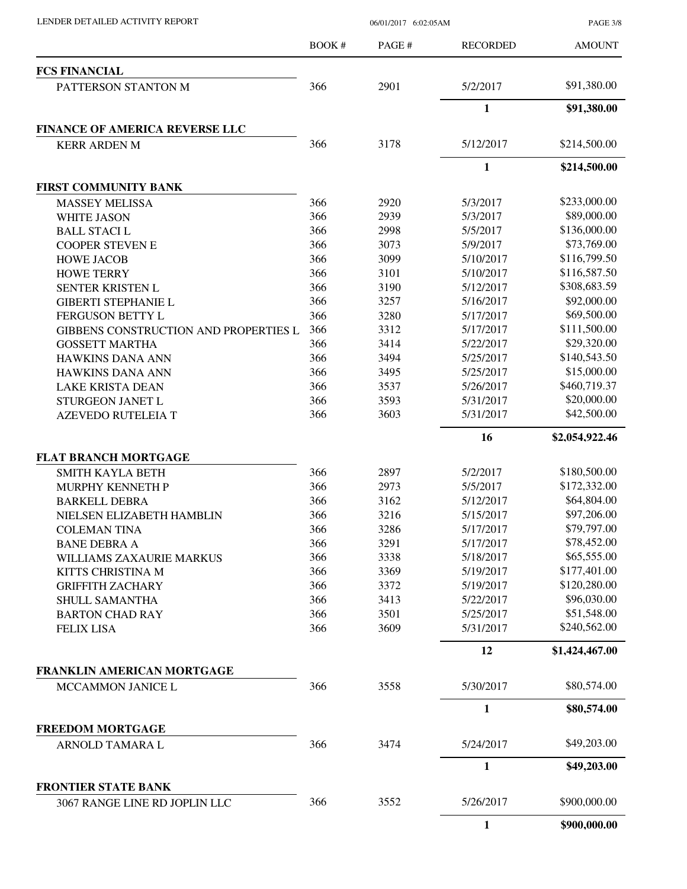PAGE 3/8

|                                       | <b>BOOK#</b> | PAGE# | <b>RECORDED</b> | <b>AMOUNT</b>  |
|---------------------------------------|--------------|-------|-----------------|----------------|
| <b>FCS FINANCIAL</b>                  |              |       |                 |                |
| PATTERSON STANTON M                   | 366          | 2901  | 5/2/2017        | \$91,380.00    |
|                                       |              |       | 1               | \$91,380.00    |
| <b>FINANCE OF AMERICA REVERSE LLC</b> |              |       |                 |                |
| <b>KERR ARDEN M</b>                   | 366          | 3178  | 5/12/2017       | \$214,500.00   |
|                                       |              |       | $\mathbf{1}$    | \$214,500.00   |
| <b>FIRST COMMUNITY BANK</b>           |              |       |                 |                |
| <b>MASSEY MELISSA</b>                 | 366          | 2920  | 5/3/2017        | \$233,000.00   |
| <b>WHITE JASON</b>                    | 366          | 2939  | 5/3/2017        | \$89,000.00    |
| <b>BALL STACIL</b>                    | 366          | 2998  | 5/5/2017        | \$136,000.00   |
| <b>COOPER STEVEN E</b>                | 366          | 3073  | 5/9/2017        | \$73,769.00    |
| <b>HOWE JACOB</b>                     | 366          | 3099  | 5/10/2017       | \$116,799.50   |
| <b>HOWE TERRY</b>                     | 366          | 3101  | 5/10/2017       | \$116,587.50   |
| <b>SENTER KRISTEN L</b>               | 366          | 3190  | 5/12/2017       | \$308,683.59   |
| <b>GIBERTI STEPHANIE L</b>            | 366          | 3257  | 5/16/2017       | \$92,000.00    |
| FERGUSON BETTY L                      | 366          | 3280  | 5/17/2017       | \$69,500.00    |
| GIBBENS CONSTRUCTION AND PROPERTIES L | 366          | 3312  | 5/17/2017       | \$111,500.00   |
| <b>GOSSETT MARTHA</b>                 | 366          | 3414  | 5/22/2017       | \$29,320.00    |
| <b>HAWKINS DANA ANN</b>               | 366          | 3494  | 5/25/2017       | \$140,543.50   |
| <b>HAWKINS DANA ANN</b>               | 366          | 3495  | 5/25/2017       | \$15,000.00    |
| <b>LAKE KRISTA DEAN</b>               | 366          | 3537  | 5/26/2017       | \$460,719.37   |
| STURGEON JANET L                      | 366          | 3593  | 5/31/2017       | \$20,000.00    |
| <b>AZEVEDO RUTELEIA T</b>             | 366          | 3603  | 5/31/2017       | \$42,500.00    |
|                                       |              |       | 16              | \$2,054,922.46 |
| <b>FLAT BRANCH MORTGAGE</b>           |              |       |                 |                |
| <b>SMITH KAYLA BETH</b>               | 366          | 2897  | 5/2/2017        | \$180,500.00   |
| MURPHY KENNETH P                      | 366          | 2973  | 5/5/2017        | \$172,332.00   |
| <b>BARKELL DEBRA</b>                  | 366          | 3162  | 5/12/2017       | \$64,804.00    |
| NIELSEN ELIZABETH HAMBLIN             | 366          | 3216  | 5/15/2017       | \$97,206.00    |
| <b>COLEMAN TINA</b>                   | 366          | 3286  | 5/17/2017       | \$79,797.00    |
| <b>BANE DEBRA A</b>                   | 366          | 3291  | 5/17/2017       | \$78,452.00    |
| WILLIAMS ZAXAURIE MARKUS              | 366          | 3338  | 5/18/2017       | \$65,555.00    |
| KITTS CHRISTINA M                     | 366          | 3369  | 5/19/2017       | \$177,401.00   |
| <b>GRIFFITH ZACHARY</b>               | 366          | 3372  | 5/19/2017       | \$120,280.00   |
| SHULL SAMANTHA                        | 366          | 3413  | 5/22/2017       | \$96,030.00    |
| <b>BARTON CHAD RAY</b>                | 366          | 3501  | 5/25/2017       | \$51,548.00    |
| <b>FELIX LISA</b>                     | 366          | 3609  | 5/31/2017       | \$240,562.00   |
|                                       |              |       | 12              | \$1,424,467.00 |
| FRANKLIN AMERICAN MORTGAGE            |              |       |                 |                |
| MCCAMMON JANICE L                     | 366          | 3558  | 5/30/2017       | \$80,574.00    |
|                                       |              |       | 1               | \$80,574.00    |
| <b>FREEDOM MORTGAGE</b>               | 366          | 3474  | 5/24/2017       | \$49,203.00    |
| ARNOLD TAMARA L                       |              |       |                 |                |
| <b>FRONTIER STATE BANK</b>            |              |       | $\mathbf{1}$    | \$49,203.00    |
| 3067 RANGE LINE RD JOPLIN LLC         | 366          | 3552  | 5/26/2017       | \$900,000.00   |
|                                       |              |       | $\mathbf{1}$    | \$900,000.00   |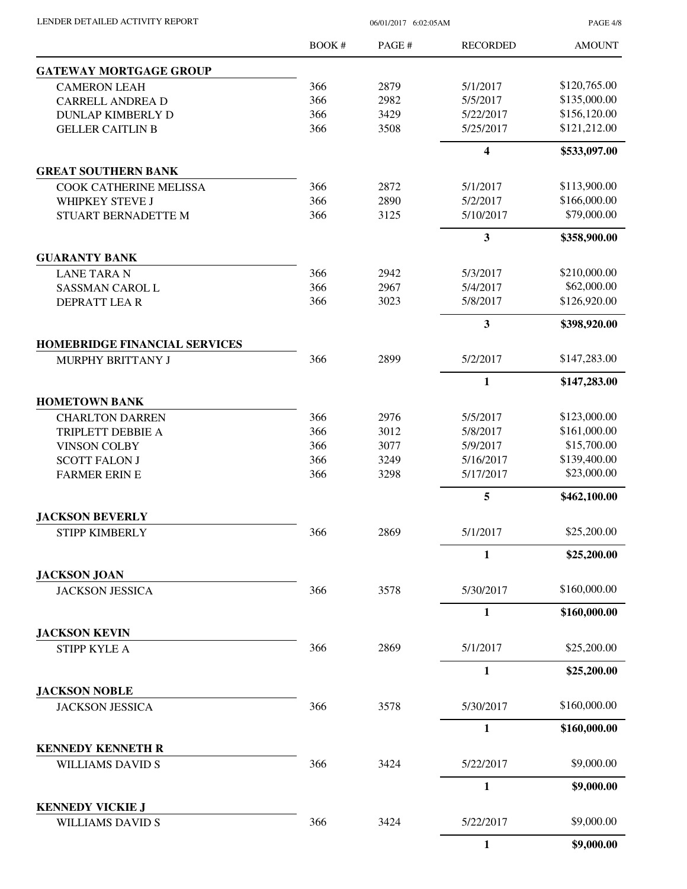PAGE 4/8

|                                                           | <b>BOOK#</b> | PAGE#        | <b>RECORDED</b>         | <b>AMOUNT</b>               |
|-----------------------------------------------------------|--------------|--------------|-------------------------|-----------------------------|
| <b>GATEWAY MORTGAGE GROUP</b>                             |              |              |                         |                             |
| <b>CAMERON LEAH</b>                                       | 366          | 2879         | 5/1/2017                | \$120,765.00                |
| <b>CARRELL ANDREA D</b>                                   | 366          | 2982         | 5/5/2017                | \$135,000.00                |
| <b>DUNLAP KIMBERLY D</b>                                  | 366          | 3429         | 5/22/2017               | \$156,120.00                |
| <b>GELLER CAITLIN B</b>                                   | 366          | 3508         | 5/25/2017               | \$121,212.00                |
|                                                           |              |              | $\overline{\mathbf{4}}$ | \$533,097.00                |
| <b>GREAT SOUTHERN BANK</b>                                |              |              |                         |                             |
| COOK CATHERINE MELISSA                                    | 366          | 2872         | 5/1/2017                | \$113,900.00                |
| WHIPKEY STEVE J                                           | 366          | 2890         | 5/2/2017                | \$166,000.00                |
| STUART BERNADETTE M                                       | 366          | 3125         | 5/10/2017               | \$79,000.00                 |
|                                                           |              |              | $\overline{\mathbf{3}}$ | \$358,900.00                |
| <b>GUARANTY BANK</b>                                      |              |              |                         |                             |
| <b>LANE TARA N</b>                                        | 366          | 2942         | 5/3/2017                | \$210,000.00                |
| SASSMAN CAROL L                                           | 366          | 2967         | 5/4/2017                | \$62,000.00                 |
| DEPRATT LEAR                                              | 366          | 3023         | 5/8/2017                | \$126,920.00                |
|                                                           |              |              | $\overline{\mathbf{3}}$ | \$398,920.00                |
| <b>HOMEBRIDGE FINANCIAL SERVICES</b><br>MURPHY BRITTANY J | 366          | 2899         | 5/2/2017                | \$147,283.00                |
|                                                           |              |              |                         |                             |
|                                                           |              |              | $\mathbf{1}$            | \$147,283.00                |
| <b>HOMETOWN BANK</b>                                      |              |              |                         |                             |
| <b>CHARLTON DARREN</b>                                    | 366          | 2976         | 5/5/2017                | \$123,000.00                |
| TRIPLETT DEBBIE A                                         | 366<br>366   | 3012         | 5/8/2017                | \$161,000.00<br>\$15,700.00 |
| <b>VINSON COLBY</b>                                       | 366          | 3077<br>3249 | 5/9/2017<br>5/16/2017   | \$139,400.00                |
| <b>SCOTT FALON J</b><br><b>FARMER ERIN E</b>              | 366          | 3298         | 5/17/2017               | \$23,000.00                 |
|                                                           |              |              | 5                       | \$462,100.00                |
| <b>JACKSON BEVERLY</b>                                    |              |              |                         |                             |
| <b>STIPP KIMBERLY</b>                                     | 366          | 2869         | 5/1/2017                | \$25,200.00                 |
|                                                           |              |              | 1                       | \$25,200.00                 |
| <b>JACKSON JOAN</b>                                       |              |              |                         |                             |
| <b>JACKSON JESSICA</b>                                    | 366          | 3578         | 5/30/2017               | \$160,000.00                |
|                                                           |              |              | 1                       | \$160,000.00                |
| <b>JACKSON KEVIN</b>                                      |              |              |                         |                             |
| STIPP KYLE A                                              | 366          | 2869         | 5/1/2017                | \$25,200.00                 |
|                                                           |              |              | $\mathbf{1}$            | \$25,200.00                 |
| <b>JACKSON NOBLE</b>                                      |              |              |                         |                             |
| <b>JACKSON JESSICA</b>                                    | 366          | 3578         | 5/30/2017               | \$160,000.00                |
|                                                           |              |              | $\mathbf{1}$            | \$160,000.00                |
| <b>KENNEDY KENNETH R</b><br><b>WILLIAMS DAVID S</b>       | 366          | 3424         | 5/22/2017               | \$9,000.00                  |
|                                                           |              |              | 1                       | \$9,000.00                  |
| <b>KENNEDY VICKIE J</b>                                   |              |              |                         |                             |
| <b>WILLIAMS DAVID S</b>                                   | 366          | 3424         | 5/22/2017               | \$9,000.00                  |
|                                                           |              |              | $\mathbf{1}$            | \$9,000.00                  |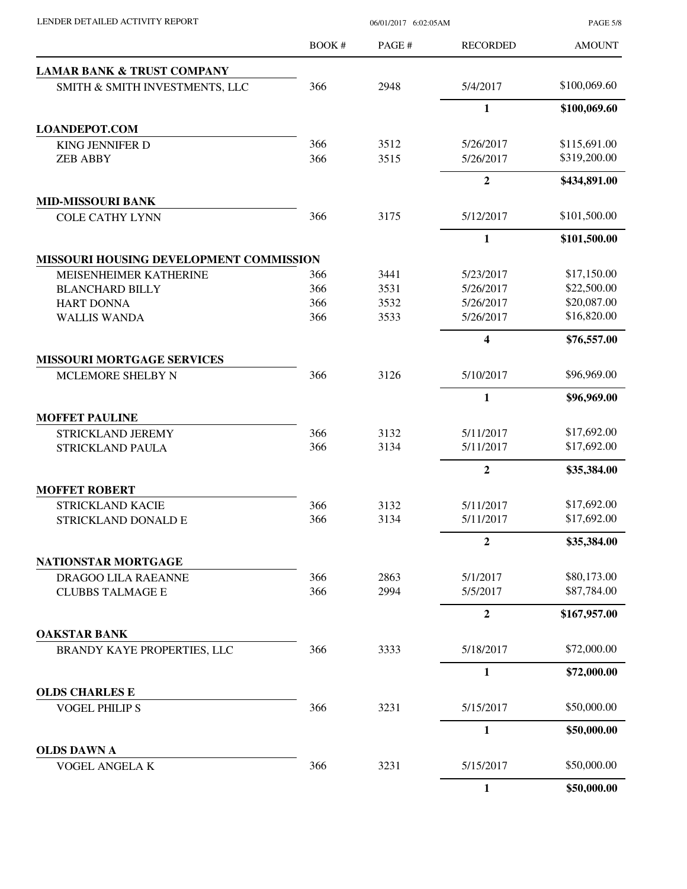| LENDER DETAILED ACTIVITY REPORT                    |        | <b>PAGE 5/8</b> |                         |               |
|----------------------------------------------------|--------|-----------------|-------------------------|---------------|
|                                                    | BOOK # | PAGE#           | <b>RECORDED</b>         | <b>AMOUNT</b> |
| <b>LAMAR BANK &amp; TRUST COMPANY</b>              |        |                 |                         |               |
| SMITH & SMITH INVESTMENTS, LLC                     | 366    | 2948            | 5/4/2017                | \$100,069.60  |
|                                                    |        |                 | $\mathbf{1}$            | \$100,069.60  |
| <b>LOANDEPOT.COM</b>                               |        |                 |                         |               |
| <b>KING JENNIFER D</b>                             | 366    | 3512            | 5/26/2017               | \$115,691.00  |
| <b>ZEB ABBY</b>                                    | 366    | 3515            | 5/26/2017               | \$319,200.00  |
|                                                    |        |                 | $\overline{2}$          | \$434,891.00  |
| <b>MID-MISSOURI BANK</b>                           |        |                 |                         |               |
| <b>COLE CATHY LYNN</b>                             | 366    | 3175            | 5/12/2017               | \$101,500.00  |
|                                                    |        |                 | 1                       | \$101,500.00  |
| MISSOURI HOUSING DEVELOPMENT COMMISSION            |        |                 |                         |               |
| MEISENHEIMER KATHERINE                             | 366    | 3441            | 5/23/2017               | \$17,150.00   |
| <b>BLANCHARD BILLY</b>                             | 366    | 3531            | 5/26/2017               | \$22,500.00   |
| <b>HART DONNA</b>                                  | 366    | 3532            | 5/26/2017               | \$20,087.00   |
| <b>WALLIS WANDA</b>                                | 366    | 3533            | 5/26/2017               | \$16,820.00   |
|                                                    |        |                 | $\overline{\mathbf{4}}$ | \$76,557.00   |
| <b>MISSOURI MORTGAGE SERVICES</b>                  |        |                 |                         |               |
| MCLEMORE SHELBY N                                  | 366    | 3126            | 5/10/2017               | \$96,969.00   |
|                                                    |        |                 | $\mathbf{1}$            | \$96,969.00   |
| <b>MOFFET PAULINE</b>                              |        |                 |                         |               |
| STRICKLAND JEREMY                                  | 366    | 3132            | 5/11/2017               | \$17,692.00   |
| <b>STRICKLAND PAULA</b>                            | 366    | 3134            | 5/11/2017               | \$17,692.00   |
|                                                    |        |                 | $\mathbf{2}$            | \$35,384.00   |
| <b>MOFFET ROBERT</b>                               |        |                 |                         |               |
| STRICKLAND KACIE                                   | 366    | 3132            | 5/11/2017               | \$17,692.00   |
| STRICKLAND DONALD E                                | 366    | 3134            | 5/11/2017               | \$17,692.00   |
|                                                    |        |                 | $\boldsymbol{2}$        | \$35,384.00   |
| NATIONSTAR MORTGAGE                                |        |                 |                         |               |
| DRAGOO LILA RAEANNE                                | 366    | 2863            | 5/1/2017                | \$80,173.00   |
| <b>CLUBBS TALMAGE E</b>                            | 366    | 2994            | 5/5/2017                | \$87,784.00   |
|                                                    |        |                 | $\mathbf{2}$            | \$167,957.00  |
| <b>OAKSTAR BANK</b><br>BRANDY KAYE PROPERTIES, LLC | 366    | 3333            | 5/18/2017               | \$72,000.00   |
|                                                    |        |                 |                         |               |
|                                                    |        |                 | $\mathbf{1}$            | \$72,000.00   |
| <b>OLDS CHARLES E</b><br><b>VOGEL PHILIPS</b>      | 366    | 3231            | 5/15/2017               | \$50,000.00   |
|                                                    |        |                 | 1                       | \$50,000.00   |
| <b>OLDS DAWN A</b>                                 |        |                 |                         |               |
| VOGEL ANGELA K                                     | 366    | 3231            | 5/15/2017               | \$50,000.00   |
|                                                    |        |                 | $\mathbf{1}$            | \$50,000.00   |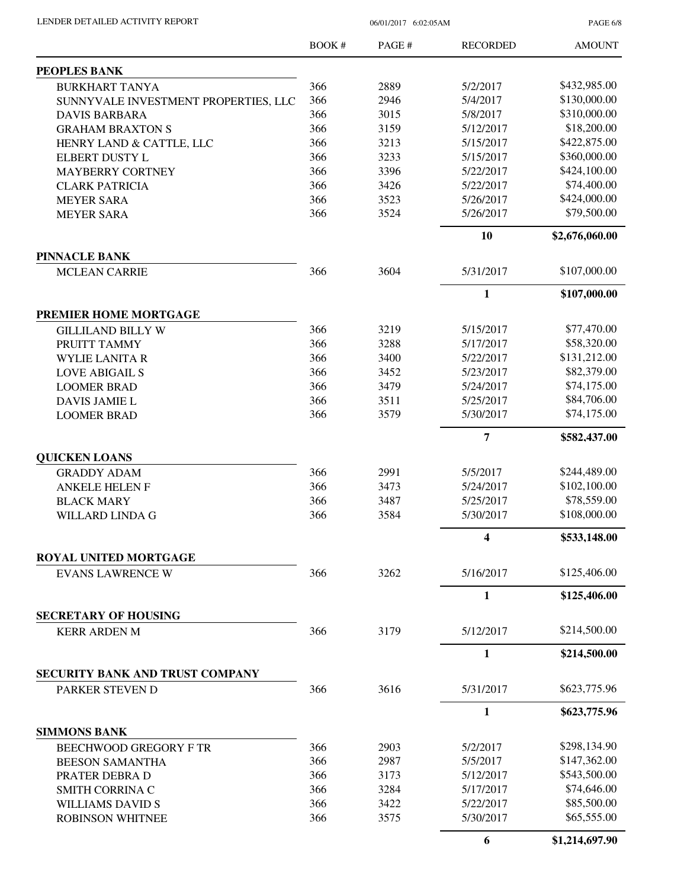| LENDER DETAILED ACTIVITY REPORT |  |
|---------------------------------|--|
|                                 |  |

06/01/2017 6:02:05AM

PAGE 6/8

|                                        | <b>BOOK#</b> | PAGE# | <b>RECORDED</b> | <b>AMOUNT</b>  |
|----------------------------------------|--------------|-------|-----------------|----------------|
| PEOPLES BANK                           |              |       |                 |                |
| <b>BURKHART TANYA</b>                  | 366          | 2889  | 5/2/2017        | \$432,985.00   |
| SUNNYVALE INVESTMENT PROPERTIES, LLC   | 366          | 2946  | 5/4/2017        | \$130,000.00   |
| <b>DAVIS BARBARA</b>                   | 366          | 3015  | 5/8/2017        | \$310,000.00   |
| <b>GRAHAM BRAXTON S</b>                | 366          | 3159  | 5/12/2017       | \$18,200.00    |
| HENRY LAND & CATTLE, LLC               | 366          | 3213  | 5/15/2017       | \$422,875.00   |
| <b>ELBERT DUSTY L</b>                  | 366          | 3233  | 5/15/2017       | \$360,000.00   |
| <b>MAYBERRY CORTNEY</b>                | 366          | 3396  | 5/22/2017       | \$424,100.00   |
| <b>CLARK PATRICIA</b>                  | 366          | 3426  | 5/22/2017       | \$74,400.00    |
| <b>MEYER SARA</b>                      | 366          | 3523  | 5/26/2017       | \$424,000.00   |
| <b>MEYER SARA</b>                      | 366          | 3524  | 5/26/2017       | \$79,500.00    |
|                                        |              |       | 10              | \$2,676,060.00 |
| <b>PINNACLE BANK</b>                   |              |       |                 |                |
| <b>MCLEAN CARRIE</b>                   | 366          | 3604  | 5/31/2017       | \$107,000.00   |
|                                        |              |       | $\mathbf{1}$    | \$107,000.00   |
| PREMIER HOME MORTGAGE                  |              |       |                 |                |
| <b>GILLILAND BILLY W</b>               | 366          | 3219  | 5/15/2017       | \$77,470.00    |
| PRUITT TAMMY                           | 366          | 3288  | 5/17/2017       | \$58,320.00    |
| <b>WYLIE LANITA R</b>                  | 366          | 3400  | 5/22/2017       | \$131,212.00   |
| <b>LOVE ABIGAIL S</b>                  | 366          | 3452  | 5/23/2017       | \$82,379.00    |
| <b>LOOMER BRAD</b>                     | 366          | 3479  | 5/24/2017       | \$74,175.00    |
| DAVIS JAMIE L                          | 366          | 3511  | 5/25/2017       | \$84,706.00    |
| <b>LOOMER BRAD</b>                     | 366          | 3579  | 5/30/2017       | \$74,175.00    |
|                                        |              |       | $\overline{7}$  | \$582,437.00   |
| <b>QUICKEN LOANS</b>                   |              |       |                 |                |
| <b>GRADDY ADAM</b>                     | 366          | 2991  | 5/5/2017        | \$244,489.00   |
| <b>ANKELE HELEN F</b>                  | 366          | 3473  | 5/24/2017       | \$102,100.00   |
| <b>BLACK MARY</b>                      | 366          | 3487  | 5/25/2017       | \$78,559.00    |
| <b>WILLARD LINDA G</b>                 | 366          | 3584  | 5/30/2017       | \$108,000.00   |
|                                        |              |       | 4               | \$533,148.00   |
| <b>ROYAL UNITED MORTGAGE</b>           |              |       |                 |                |
| <b>EVANS LAWRENCE W</b>                | 366          | 3262  | 5/16/2017       | \$125,406.00   |
|                                        |              |       | $\mathbf{1}$    | \$125,406.00   |
| <b>SECRETARY OF HOUSING</b>            |              |       |                 |                |
| <b>KERR ARDEN M</b>                    | 366          | 3179  | 5/12/2017       | \$214,500.00   |
|                                        |              |       | 1               | \$214,500.00   |
| <b>SECURITY BANK AND TRUST COMPANY</b> |              |       |                 |                |
| PARKER STEVEN D                        | 366          | 3616  | 5/31/2017       | \$623,775.96   |
|                                        |              |       | $\mathbf{1}$    | \$623,775.96   |
| <b>SIMMONS BANK</b>                    |              |       |                 |                |
| <b>BEECHWOOD GREGORY F TR</b>          | 366          | 2903  | 5/2/2017        | \$298,134.90   |
| <b>BEESON SAMANTHA</b>                 | 366          | 2987  | 5/5/2017        | \$147,362.00   |
| PRATER DEBRA D                         | 366          | 3173  | 5/12/2017       | \$543,500.00   |
| SMITH CORRINA C                        | 366          | 3284  | 5/17/2017       | \$74,646.00    |
| <b>WILLIAMS DAVID S</b>                | 366          | 3422  | 5/22/2017       | \$85,500.00    |
| <b>ROBINSON WHITNEE</b>                | 366          | 3575  | 5/30/2017       | \$65,555.00    |
|                                        |              |       | 6               | \$1,214,697.90 |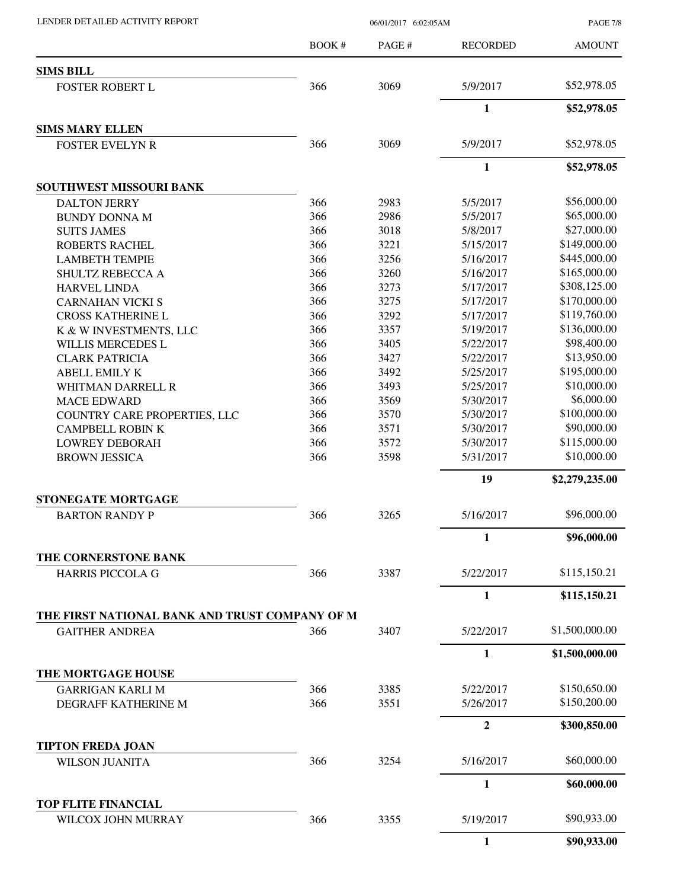LENDER DETAILED ACTIVITY REPORT 06/01/2017 6:02:05AM

PAGE 7/8

|                                                | BOOK# | PAGE# | <b>RECORDED</b> | <b>AMOUNT</b>  |
|------------------------------------------------|-------|-------|-----------------|----------------|
| <b>SIMS BILL</b>                               |       |       |                 |                |
| <b>FOSTER ROBERT L</b>                         | 366   | 3069  | 5/9/2017        | \$52,978.05    |
|                                                |       |       | $\mathbf{1}$    | \$52,978.05    |
| <b>SIMS MARY ELLEN</b>                         |       |       |                 |                |
| <b>FOSTER EVELYN R</b>                         | 366   | 3069  | 5/9/2017        | \$52,978.05    |
|                                                |       |       | $\mathbf{1}$    | \$52,978.05    |
| SOUTHWEST MISSOURI BANK                        |       |       |                 |                |
| <b>DALTON JERRY</b>                            | 366   | 2983  | 5/5/2017        | \$56,000.00    |
| <b>BUNDY DONNA M</b>                           | 366   | 2986  | 5/5/2017        | \$65,000.00    |
| <b>SUITS JAMES</b>                             | 366   | 3018  | 5/8/2017        | \$27,000.00    |
| <b>ROBERTS RACHEL</b>                          | 366   | 3221  | 5/15/2017       | \$149,000.00   |
| <b>LAMBETH TEMPIE</b>                          | 366   | 3256  | 5/16/2017       | \$445,000.00   |
| SHULTZ REBECCA A                               | 366   | 3260  | 5/16/2017       | \$165,000.00   |
| <b>HARVEL LINDA</b>                            | 366   | 3273  | 5/17/2017       | \$308,125.00   |
| <b>CARNAHAN VICKI S</b>                        | 366   | 3275  | 5/17/2017       | \$170,000.00   |
| <b>CROSS KATHERINE L</b>                       | 366   | 3292  | 5/17/2017       | \$119,760.00   |
| K & W INVESTMENTS, LLC                         | 366   | 3357  | 5/19/2017       | \$136,000.00   |
| WILLIS MERCEDES L                              | 366   | 3405  | 5/22/2017       | \$98,400.00    |
| <b>CLARK PATRICIA</b>                          | 366   | 3427  | 5/22/2017       | \$13,950.00    |
| <b>ABELL EMILY K</b>                           | 366   | 3492  | 5/25/2017       | \$195,000.00   |
| <b>WHITMAN DARRELL R</b>                       | 366   | 3493  | 5/25/2017       | \$10,000.00    |
| <b>MACE EDWARD</b>                             | 366   | 3569  | 5/30/2017       | \$6,000.00     |
| COUNTRY CARE PROPERTIES, LLC                   | 366   | 3570  | 5/30/2017       | \$100,000.00   |
| <b>CAMPBELL ROBIN K</b>                        | 366   | 3571  | 5/30/2017       | \$90,000.00    |
| <b>LOWREY DEBORAH</b>                          | 366   | 3572  | 5/30/2017       | \$115,000.00   |
| <b>BROWN JESSICA</b>                           | 366   | 3598  | 5/31/2017       | \$10,000.00    |
|                                                |       |       | 19              | \$2,279,235.00 |
| STONEGATE MORTGAGE                             |       |       |                 |                |
| <b>BARTON RANDY P</b>                          | 366   | 3265  | 5/16/2017       | \$96,000.00    |
|                                                |       |       | 1               | \$96,000.00    |
| THE CORNERSTONE BANK                           |       |       |                 |                |
| <b>HARRIS PICCOLA G</b>                        | 366   | 3387  | 5/22/2017       | \$115,150.21   |
|                                                |       |       | 1               | \$115,150.21   |
| THE FIRST NATIONAL BANK AND TRUST COMPANY OF M |       |       |                 |                |
| <b>GAITHER ANDREA</b>                          | 366   | 3407  | 5/22/2017       | \$1,500,000.00 |
|                                                |       |       | $\mathbf{1}$    | \$1,500,000.00 |
| THE MORTGAGE HOUSE                             |       |       |                 |                |
| <b>GARRIGAN KARLI M</b>                        | 366   | 3385  | 5/22/2017       | \$150,650.00   |
| DEGRAFF KATHERINE M                            | 366   | 3551  | 5/26/2017       | \$150,200.00   |
|                                                |       |       | $\overline{2}$  | \$300,850.00   |
| <b>TIPTON FREDA JOAN</b>                       |       |       |                 |                |
| <b>WILSON JUANITA</b>                          | 366   | 3254  | 5/16/2017       | \$60,000.00    |
|                                                |       |       | 1               | \$60,000.00    |
| <b>TOP FLITE FINANCIAL</b>                     |       |       |                 |                |
| WILCOX JOHN MURRAY                             | 366   | 3355  | 5/19/2017       | \$90,933.00    |
|                                                |       |       | $\mathbf{1}$    | \$90,933.00    |